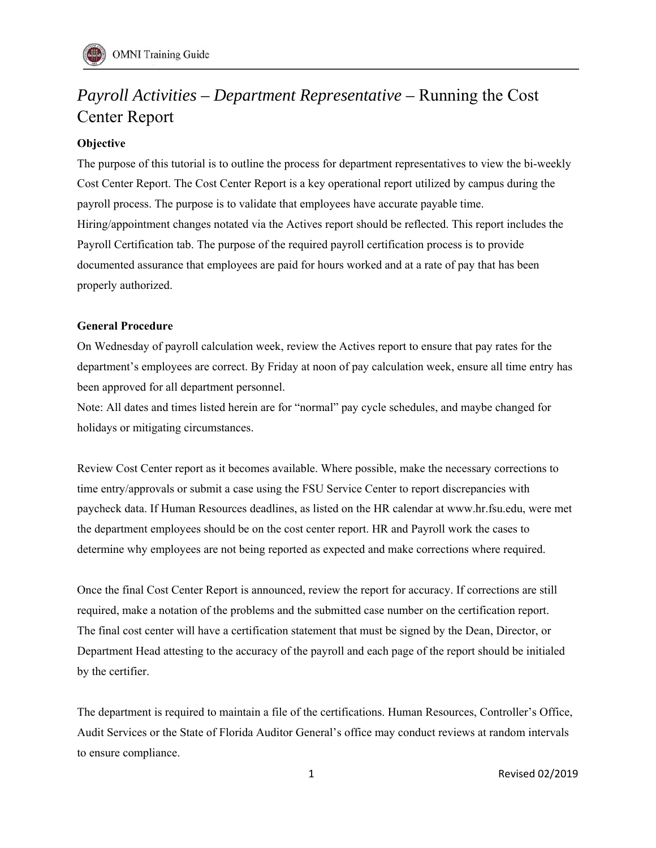# *Payroll Activities – Department Representative –* Running the Cost Center Report

# **Objective**

The purpose of this tutorial is to outline the process for department representatives to view the bi-weekly Cost Center Report. The Cost Center Report is a key operational report utilized by campus during the payroll process. The purpose is to validate that employees have accurate payable time. Hiring/appointment changes notated via the Actives report should be reflected. This report includes the Payroll Certification tab. The purpose of the required payroll certification process is to provide documented assurance that employees are paid for hours worked and at a rate of pay that has been properly authorized.

## **General Procedure**

On Wednesday of payroll calculation week, review the Actives report to ensure that pay rates for the department's employees are correct. By Friday at noon of pay calculation week, ensure all time entry has been approved for all department personnel.

Note: All dates and times listed herein are for "normal" pay cycle schedules, and maybe changed for holidays or mitigating circumstances.

Review Cost Center report as it becomes available. Where possible, make the necessary corrections to time entry/approvals or submit a case using the FSU Service Center to report discrepancies with paycheck data. If Human Resources deadlines, as listed on the HR calendar at www.hr.fsu.edu, were met the department employees should be on the cost center report. HR and Payroll work the cases to determine why employees are not being reported as expected and make corrections where required.

Once the final Cost Center Report is announced, review the report for accuracy. If corrections are still required, make a notation of the problems and the submitted case number on the certification report. The final cost center will have a certification statement that must be signed by the Dean, Director, or Department Head attesting to the accuracy of the payroll and each page of the report should be initialed by the certifier.

The department is required to maintain a file of the certifications. Human Resources, Controller's Office, Audit Services or the State of Florida Auditor General's office may conduct reviews at random intervals to ensure compliance.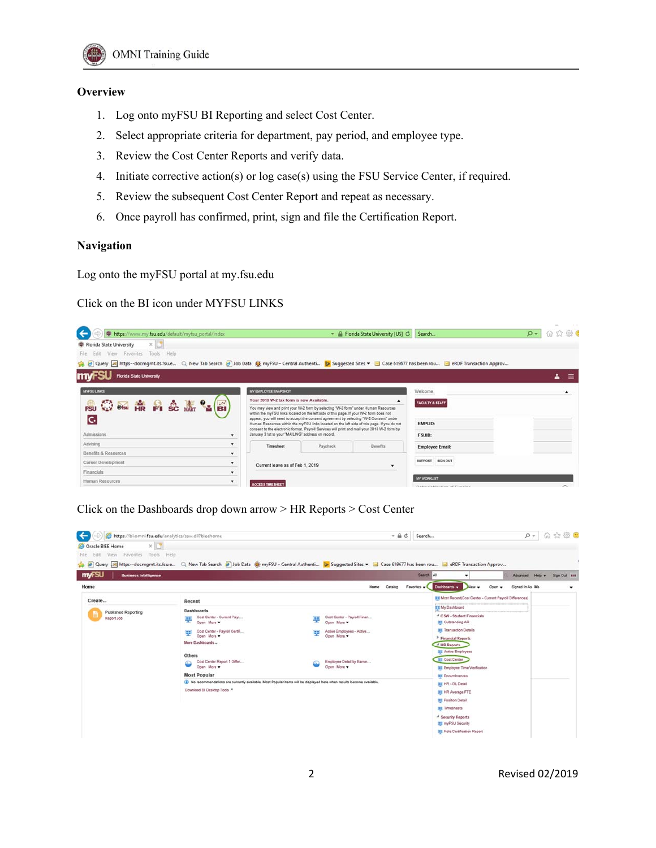

### **Overview**

- 1. Log onto myFSU BI Reporting and select Cost Center.
- 2. Select appropriate criteria for department, pay period, and employee type.
- 3. Review the Cost Center Reports and verify data.
- 4. Initiate corrective action(s) or log case(s) using the FSU Service Center, if required.
- 5. Review the subsequent Cost Center Report and repeat as necessary.
- 6. Once payroll has confirmed, print, sign and file the Certification Report.

#### **Navigation**

Log onto the myFSU portal at my.fsu.edu

Click on the BI icon under MYFSU LINKS

| https://www.my.fsu.edu/default/myfsu_portal/index                                                                                                             |                                                                                                                                                                                       |          | - & Florida State University [US] | Search                                             | $\circ$ | $\frac{1}{2} \left( \frac{1}{2} \right) \left( \frac{1}{2} \right) \left( \frac{1}{2} \right)$<br>命众恋色 |          |
|---------------------------------------------------------------------------------------------------------------------------------------------------------------|---------------------------------------------------------------------------------------------------------------------------------------------------------------------------------------|----------|-----------------------------------|----------------------------------------------------|---------|--------------------------------------------------------------------------------------------------------|----------|
| $\times$ $\Box$<br>Florida State University                                                                                                                   |                                                                                                                                                                                       |          |                                   |                                                    |         |                                                                                                        |          |
| Edit View Favorites Tools Help<br>File                                                                                                                        |                                                                                                                                                                                       |          |                                   |                                                    |         |                                                                                                        |          |
| Query M https--docmgmt.its.fsu.e Q New Tab Search 2 Job Data @ myFSU - Central Authenti b Suggested Sites v Case 619677 has been rou C RDF Transaction Approv |                                                                                                                                                                                       |          |                                   |                                                    |         |                                                                                                        |          |
| <b>Florida State University</b>                                                                                                                               |                                                                                                                                                                                       |          |                                   |                                                    |         | ᇰ                                                                                                      | $\equiv$ |
| <b>MYFSU LINKS</b>                                                                                                                                            | MY EMPLOYEE SNAPSHOT                                                                                                                                                                  |          |                                   | Welcome,                                           |         |                                                                                                        |          |
|                                                                                                                                                               | Your 2018 W-2 tax form is now Available.                                                                                                                                              |          |                                   | <b>FACULTY &amp; STAFF</b>                         |         |                                                                                                        |          |
| <b>高田田泉日会基名图</b>                                                                                                                                              | You may view and print your W-2 form by selecting "W-2 form" under Human Resources<br>within the myFSU links located on the left side of this page. If your W-2 form does not         |          |                                   |                                                    |         |                                                                                                        |          |
| C.                                                                                                                                                            | appear, you will need to accept the consent agreement by selecting "W-2 Consent" under<br>Human Resources within the myFSU links located on the left side of this page. If you do not |          |                                   | <b>EMPLID:</b>                                     |         |                                                                                                        |          |
| Admissions<br>$\mathbf{v}$                                                                                                                                    | consent to the electronic format, Payroll Services will print and mail your 2018 W-2 form by<br>January 31st to your "MAILING" address on record.                                     |          |                                   | FSUID:                                             |         |                                                                                                        |          |
| Advising<br>$\mathbf{v}$                                                                                                                                      | Timesheet                                                                                                                                                                             | Paycheck | <b>Benefits</b>                   | <b>Employee Email:</b>                             |         |                                                                                                        |          |
| Benefits & Resources<br>$\mathbf{v}$                                                                                                                          |                                                                                                                                                                                       |          |                                   |                                                    |         |                                                                                                        |          |
| Career Development<br>۰                                                                                                                                       | Current leave as of Feb 1, 2019                                                                                                                                                       |          | $\blacktriangledown$              | <b>SUPPORT SIGN OUT</b>                            |         |                                                                                                        |          |
| Financials<br>$\cdot$                                                                                                                                         |                                                                                                                                                                                       |          |                                   |                                                    |         |                                                                                                        |          |
| Human Resources<br>۰                                                                                                                                          | <b>ACCESS TIME SHEET</b>                                                                                                                                                              |          |                                   | MY WORKLIST<br>Physical distribution of Presidents |         | $\sim$                                                                                                 |          |

Click on the Dashboards drop down arrow > HR Reports > Cost Center

| $x$ <sup>1</sup><br>Oracle BIEE Home<br>View Favorites Tools Help<br>Edit<br>File |                                                                                                                                                                      |    |                                          |                                                                                                |                                                                   |                              |
|-----------------------------------------------------------------------------------|----------------------------------------------------------------------------------------------------------------------------------------------------------------------|----|------------------------------------------|------------------------------------------------------------------------------------------------|-------------------------------------------------------------------|------------------------------|
| myFSU<br><b>Business Intelligence</b>                                             | a D Query a https--docmgmt.its.fsu.e Q New Tab Search a Job Data @ myFSU - Central Authenti b Suggested Sites . 3 Case 619677 has been rou 3 eRDF Transaction Approv |    |                                          | Search All                                                                                     |                                                                   | Advanced Help v Sign Out ### |
| Home                                                                              |                                                                                                                                                                      |    | Home<br>Catalog                          | <b>Dashboards</b> v<br>Favorites v<br>New -                                                    | Signed In As Ms<br>Open v                                         |                              |
| Create                                                                            | Recent                                                                                                                                                               |    |                                          |                                                                                                | <b>III Most Recent(Cost Center - Current Payroll Differences)</b> |                              |
| <b>Published Reporting</b><br>Report Job                                          | Dashboards<br>Cost Center - Current Payr<br>學<br>Open More                                                                                                           | 里  | Cost Center - Payroll Finan<br>Open More | 33 My Dashboard<br><sup>4</sup> CSW - Student Financials<br><b>III</b> Outstanding AR          |                                                                   |                              |
|                                                                                   | Cost Center - Payroll Certifi<br>嬰<br>Open More<br>More Dashboards ~                                                                                                 | E. | Active Employees - Active<br>Open More   | <b>ITE Transaction Details</b><br><sup>3</sup> Financial Reports<br><sup>4</sup> HR Reports    |                                                                   |                              |
|                                                                                   | <b>Others</b><br>Cost Center Report 1 Differ<br>Open More                                                                                                            |    | Employee Detail by Earnin<br>Open More   | <b>III</b> Active Employees<br><b>ITE Cost Center</b><br><b>III</b> Employee Time Verification |                                                                   |                              |
|                                                                                   | <b>Most Popular</b>                                                                                                                                                  |    |                                          | <b>III</b> Encumbrances                                                                        |                                                                   |                              |
|                                                                                   | (b) No recommendations are currently available. Most Popular items will be displayed here when results become available.<br>Download BI Desktop Tools                |    |                                          | <b>III HR - GL Detail</b>                                                                      |                                                                   |                              |
|                                                                                   |                                                                                                                                                                      |    |                                          | <b>III HR Average FTE</b><br><b>IX Position Detail</b>                                         |                                                                   |                              |
|                                                                                   |                                                                                                                                                                      |    |                                          | <b>III</b> Timesheets                                                                          |                                                                   |                              |
|                                                                                   |                                                                                                                                                                      |    |                                          | <sup>4</sup> Security Reports<br><b>III</b> myFSU Security                                     |                                                                   |                              |
|                                                                                   |                                                                                                                                                                      |    |                                          | <b>III</b> Role Certification Report                                                           |                                                                   |                              |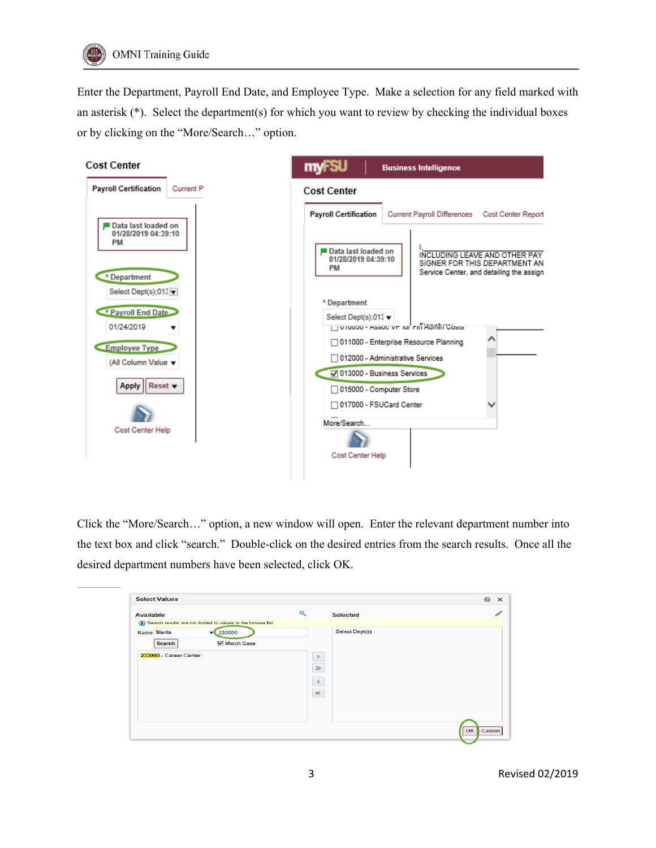Enter the Department, Payroll End Date, and Employee Type. Make a selection for any field marked with an asterisk (\*). Select the department(s) for which you want to review by checking the individual boxes or by clicking on the "More/Search…" option.



Click the "More/Search…" option, a new window will open. Enter the relevant department number into the text box and click "search." Double-click on the desired entries from the search results. Once all the desired department numbers have been selected, click OK.

| <b>Select Values</b>                                                                                                                                |                                                                 | $\odot$<br>$\times$ |
|-----------------------------------------------------------------------------------------------------------------------------------------------------|-----------------------------------------------------------------|---------------------|
| Available                                                                                                                                           | $\mathbf{Q}_\mathrm{c}$<br>Selected                             | Í                   |
| (1) Search results are not limited to values in the browse list<br>Name Starts<br>$\sqrt{233000}$<br>Match Case<br>Search<br>233000 - Career Center | Select Dept(s)<br>$\,$<br>$\gg$<br>$\hat{\phantom{a}}$<br>$\ll$ |                     |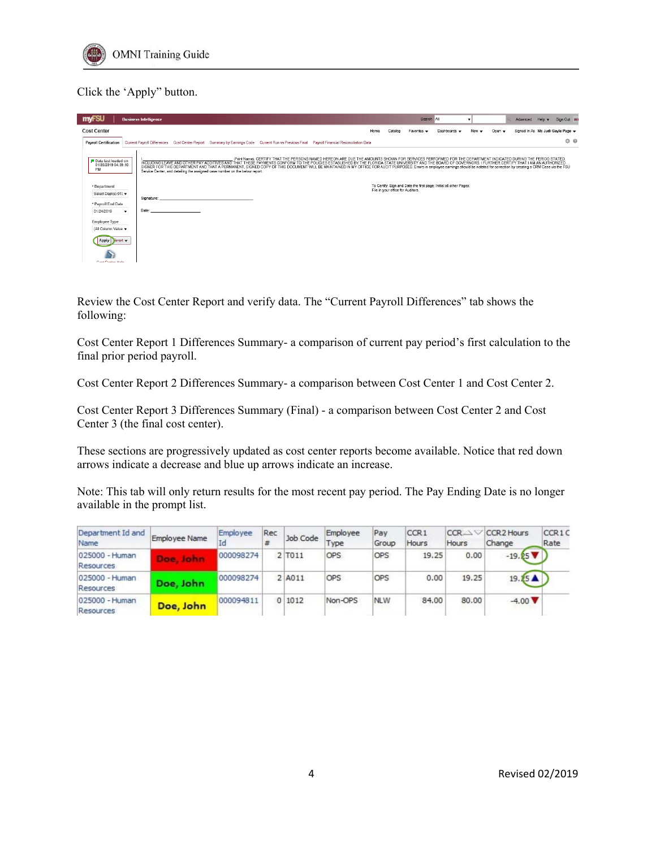

# Click the 'Apply" button.

| <b>my SU</b><br><b>Business Intelligence</b>                                                                                                                                                                                                                                                                                                                                                                                                                                                                                                                                  |                                                                                                                                                             |      |                                   | Search              | All                                                                | $\overline{\phantom{0}}$ |                | Advanced                          | Help $\mathbf{v}$ | Sign Out 111 |
|-------------------------------------------------------------------------------------------------------------------------------------------------------------------------------------------------------------------------------------------------------------------------------------------------------------------------------------------------------------------------------------------------------------------------------------------------------------------------------------------------------------------------------------------------------------------------------|-------------------------------------------------------------------------------------------------------------------------------------------------------------|------|-----------------------------------|---------------------|--------------------------------------------------------------------|--------------------------|----------------|-----------------------------------|-------------------|--------------|
| <b>Cost Center</b>                                                                                                                                                                                                                                                                                                                                                                                                                                                                                                                                                            |                                                                                                                                                             | Home | Catalog                           | Favorites $\bullet$ | Dashboards v                                                       | New $\mathbf$            | Open $\mathbf$ | Signed In As Ms Judi Gavle Page v |                   |              |
| <b>Payroll Certification</b><br>Current Payroll Differences Cost Center Report Summary by Earnings Code Current Run vs Previous Final Payroll Financial Reconciliation Data                                                                                                                                                                                                                                                                                                                                                                                                   |                                                                                                                                                             |      |                                   |                     |                                                                    |                          |                |                                   |                   | ☆ ◎          |
| Data last loaded on<br>INCLUDING LEAVE AND OTHER PAY ADDITIVES AND THAT THESE PAYMENTS CONFORM TO THE POLICIES ESTABLISHED BY THE FLORIDA STATE UNIVERSITY AND THE BOARD OF GOVERNORS. I FURTHER CERTIFY THAT I AM AN AUTHORIZED<br>01/28/2019 04:39:10<br>SIGNER FOR THIS DEPARTMENT AND THAT A PERMANENT, SIGNED COPY OF THIS DOCUMENT WILL BE MAINTAINED IN MY OFFICE FOR AUDIT PURPOSES. Errors in employee earnings should be notated for correction by creating a CRM Case via the<br>PM<br>Service Center, and detailing the assigned case number on the below report. | (Print Name), CERTIFY THAT THE PERSONS NAMED HEREON ARE DUE THE AMOUNTS SHOWN FOR SERVICES PERFORMED FOR THE DEPARTMENT INDICATED DURING THE PERIOD STATED, |      |                                   |                     |                                                                    |                          |                |                                   |                   |              |
| * Department<br>Select Dept(s);013 v                                                                                                                                                                                                                                                                                                                                                                                                                                                                                                                                          |                                                                                                                                                             |      | File in your office for Auditors. |                     | To Certify: Sign and Date the first page; Initial all other Pages; |                          |                |                                   |                   |              |
| Signature:<br>* Payroll End Date                                                                                                                                                                                                                                                                                                                                                                                                                                                                                                                                              |                                                                                                                                                             |      |                                   |                     |                                                                    |                          |                |                                   |                   |              |
| Date:<br>01/24/2019<br>$\blacktriangledown$                                                                                                                                                                                                                                                                                                                                                                                                                                                                                                                                   |                                                                                                                                                             |      |                                   |                     |                                                                    |                          |                |                                   |                   |              |
| <b>Employee Type</b><br>(All Column Value v                                                                                                                                                                                                                                                                                                                                                                                                                                                                                                                                   |                                                                                                                                                             |      |                                   |                     |                                                                    |                          |                |                                   |                   |              |
| Apply Reset v                                                                                                                                                                                                                                                                                                                                                                                                                                                                                                                                                                 |                                                                                                                                                             |      |                                   |                     |                                                                    |                          |                |                                   |                   |              |
| Cost Contac Male                                                                                                                                                                                                                                                                                                                                                                                                                                                                                                                                                              |                                                                                                                                                             |      |                                   |                     |                                                                    |                          |                |                                   |                   |              |

Review the Cost Center Report and verify data. The "Current Payroll Differences" tab shows the following:

Cost Center Report 1 Differences Summary- a comparison of current pay period's first calculation to the final prior period payroll.

Cost Center Report 2 Differences Summary- a comparison between Cost Center 1 and Cost Center 2.

Cost Center Report 3 Differences Summary (Final) - a comparison between Cost Center 2 and Cost Center 3 (the final cost center).

These sections are progressively updated as cost center reports become available. Notice that red down arrows indicate a decrease and blue up arrows indicate an increase.

Note: This tab will only return results for the most recent pay period. The Pay Ending Date is no longer available in the prompt list.

| Department Id and<br>Name   | <b>Employee Name</b>      | Employee<br>Id | Rec<br>畫 | Job Code | Employee<br>Type | Pay<br>Group | CCR <sub>1</sub><br>Hours | CCR<br>Hours | CCR <sub>2</sub> Hours<br>Change | CCR1C<br>Rate |
|-----------------------------|---------------------------|----------------|----------|----------|------------------|--------------|---------------------------|--------------|----------------------------------|---------------|
| 025000 - Human<br>Resources | <b>JOINT</b><br><b>OB</b> | 000098274      |          | 2 T011   | OPS              | OPS          | 19.25                     | 0.00         | $-19.25$ $\nabla$                |               |
| 025000 - Human<br>Resources | Doe, John                 | 000098274      |          | 2 A011   | <b>OPS</b>       | OPS          | 0.00                      | 19.25        | 19.25A                           |               |
| 025000 - Human<br>Resources | Doe, John                 | 000094811      |          | 1012     | Non-OPS          | <b>NLW</b>   | 84.00                     | 80.00        | $-4.00$ $\blacktriangledown$     |               |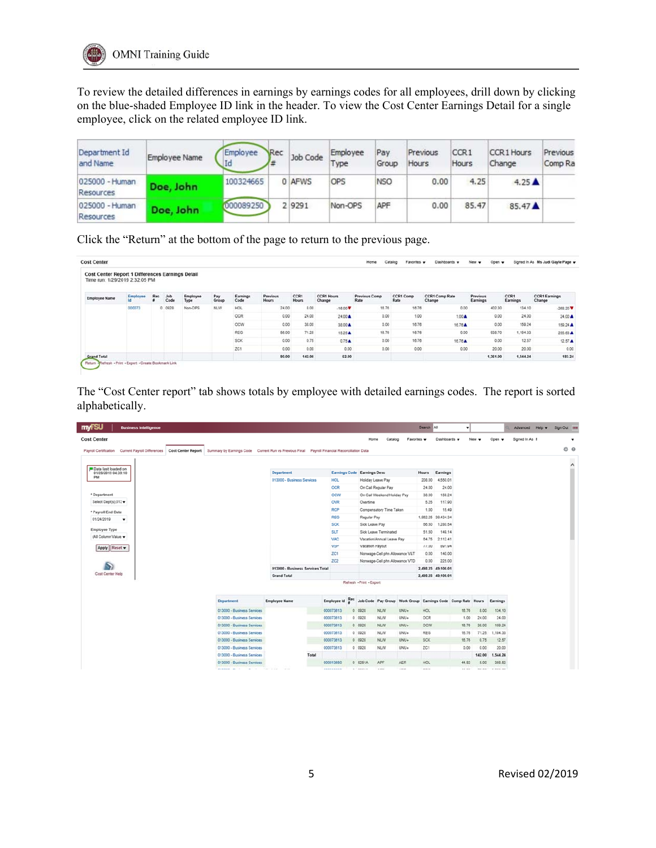To review the detailed differences in earnings by earnings codes for all employees, drill down by clicking on the blue-shaded Employee ID link in the header. To view the Cost Center Earnings Detail for a single employee, click on the related employee ID link.

| Department Id<br>and Name   | Employee Name | Employee<br>Id | Rec | Job Code | Employee<br>Type | Pay<br>Group | Previous<br>Hours | CCR1<br>Hours | <b>CCR1 Hours</b><br>Change | Previous<br>Comp Ra |
|-----------------------------|---------------|----------------|-----|----------|------------------|--------------|-------------------|---------------|-----------------------------|---------------------|
| 025000 - Human<br>Resources | Doe, John     | 100324665      |     | 0 AFWS   | OPS              | <b>NSO</b>   | 0.00              | 4.25          | $4.25 \triangle$            |                     |
| 025000 - Human<br>Resources | Doe, John     | 000089250      |     | 2 9291   | Non-OPS          | APF          | 0.00              | 85.47         | 85.47                       |                     |

Click the "Return" at the bottom of the page to return to the previous page.

| Cost Center Report 1 Differences Earnings Detail<br>Time run: 1/29/2019 2:32:05 PM |                       |     |             |                  |              |                  |                                 |                      |                             |                              |                   |                                 |                      |                  |                                |
|------------------------------------------------------------------------------------|-----------------------|-----|-------------|------------------|--------------|------------------|---------------------------------|----------------------|-----------------------------|------------------------------|-------------------|---------------------------------|----------------------|------------------|--------------------------------|
| <b>Employee Name</b>                                                               | <b>Employee</b><br>Id | Rec | Job<br>Code | Employee<br>Type | Pay<br>Group | Earnings<br>Code | <b>Previous</b><br><b>Hours</b> | CCR1<br><b>Hours</b> | <b>CCR1 Hours</b><br>Change | <b>Previous Comp</b><br>Rate | CCR1 Comp<br>Rate | <b>CCR1 Comp Rate</b><br>Change | Previous<br>Earnings | CCR1<br>Earnings | <b>CCR1 Earnings</b><br>Change |
|                                                                                    | 000073                | ٥   | 0928        | Non-OPS          | NLW.         | <b>HOL</b>       | 24.00                           | 8.00                 | $-16.00 \text{ V}$          | 16.76                        | 18.76             | 0.00                            | 402.30               | 134.10           | $-268.20$ $V$                  |
|                                                                                    |                       |     |             |                  |              | OCR              | 0.00                            | 24.00                | 24.00 A                     | 0.00                         | 1.00              | $1.00 \text{ A}$                | 0.00                 | 24.00            | 24.00 A                        |
|                                                                                    |                       |     |             |                  |              | ocw              | 0.00                            | 38.00                | 38.00 A                     | 0.00                         | 16.76             | 16.76 A                         | 0.00                 | 159.24           | 159.24 A                       |
|                                                                                    |                       |     |             |                  |              | REG              | 56.00                           | 71.25                | 15.25 A                     | 16.76                        | 16.76             | 0.00                            | 938.70               | 1,194.33         | 255.63 ▲                       |
|                                                                                    |                       |     |             |                  |              | <b>SCK</b>       | 0.00                            | 0.75                 | 0.75A                       | 0.00                         | 16.76             | 16.76A                          | 0.00                 | 12.57            | $12.57 \text{ A}$              |
|                                                                                    |                       |     |             |                  |              | ZC1              | 0.00                            | 0.00                 | 0.00                        | 0.00                         | 0.00              | 0.00                            | 20.00                | 20.00            | 0.00                           |
| <b>Grand Total</b>                                                                 |                       |     |             |                  |              |                  | 80.00                           | 142.00               | 62.00                       |                              |                   |                                 | 1,361.00             | 1,544.24         | 183.24                         |

The "Cost Center report" tab shows totals by employee with detailed earnings codes. The report is sorted alphabetically.

| <b>myFSU</b>              | <b>Business Intelligence</b> |                                                                                                                                             |                                  |                          |                               |                                                             |             | Search All   |                                | ٠      |              |          | Advanced Help v | Sign Out ### |                |
|---------------------------|------------------------------|---------------------------------------------------------------------------------------------------------------------------------------------|----------------------------------|--------------------------|-------------------------------|-------------------------------------------------------------|-------------|--------------|--------------------------------|--------|--------------|----------|-----------------|--------------|----------------|
| <b>Cost Center</b>        |                              |                                                                                                                                             |                                  |                          | Home                          | Catalog                                                     | Favorites v |              | Dashboards .                   |        | New -        | Open v   | Signed In As I  |              | $\blacksquare$ |
| Payroll Certification     |                              | Current Payroll Differences Cost Center Report Summary by Earnings Code Current Run vs Previous Final Payroll Financial Reconciliation Data |                                  |                          |                               |                                                             |             |              |                                |        |              |          |                 | ☆ ⊙          |                |
|                           |                              |                                                                                                                                             |                                  |                          |                               |                                                             |             |              |                                |        |              |          |                 |              |                |
| Data last loaded on       |                              |                                                                                                                                             |                                  |                          |                               |                                                             |             |              |                                |        |              |          |                 |              | $\hat{}$       |
| 01/28/2019 04:39:10<br>PM |                              |                                                                                                                                             | <b>Department</b>                |                          | Earnings Code Earnings Deso   |                                                             |             | <b>Hours</b> | Earnings                       |        |              |          |                 |              |                |
|                           |                              |                                                                                                                                             | 013000 - Business Services       | HOL.                     | Holiday Leave Pay             |                                                             |             | 208.00       | 4,550.01                       |        |              |          |                 |              |                |
|                           |                              |                                                                                                                                             |                                  | OCR                      |                               | On Call Regular Pay                                         |             | 24.00        | 24.00                          |        |              |          |                 |              |                |
| * Department              |                              |                                                                                                                                             |                                  | ocw                      |                               | On Call Weekend Holday Pay                                  |             | 38.00        | 159.24                         |        |              |          |                 |              |                |
| Select Dept(s):012 w      |                              |                                                                                                                                             |                                  | OVR                      | Overtime                      |                                                             |             | 5.25         | 117.90                         |        |              |          |                 |              |                |
| * Payroll End Date        |                              |                                                                                                                                             |                                  | <b>RCP</b>               |                               | Compensatory Time Taken                                     |             | 1.00         | 15.49                          |        |              |          |                 |              |                |
| 01/24/2019                | $\blacksquare$               |                                                                                                                                             |                                  | <b>REG</b><br><b>SCK</b> | Regular Pay<br>Sick Leave Pay |                                                             |             | 66.50        | 1,962.25 39,434.34<br>1,280.54 |        |              |          |                 |              |                |
| <b>Employee Type</b>      |                              |                                                                                                                                             |                                  | <b>SLT</b>               |                               | Sick Leave Terminated                                       |             | 51.50        | 149.14                         |        |              |          |                 |              |                |
| (All Column Value v       |                              |                                                                                                                                             |                                  | VAC                      |                               | Vacation/Annual Leave Pay                                   |             | 64.75        | 2,112.41                       |        |              |          |                 |              |                |
| Apply Reset               |                              |                                                                                                                                             |                                  | VSP                      | Vacation Payout               |                                                             |             | 77.00        | 891.94                         |        |              |          |                 |              |                |
|                           |                              |                                                                                                                                             |                                  | ZCI                      |                               | Nonwage-Cell phn Allowance V&T                              |             | 0.00         | 140.00                         |        |              |          |                 |              |                |
|                           |                              |                                                                                                                                             |                                  | ZC2                      |                               | Nonwage-Cell phn Allowance VTD                              |             | 0.00         | 225.00                         |        |              |          |                 |              |                |
| B                         |                              |                                                                                                                                             | 013000 - Business Services Total |                          |                               |                                                             |             |              | 2,498.25 49,100.01             |        |              |          |                 |              |                |
| Cost Center Help          |                              |                                                                                                                                             | <b>Grand Total</b>               |                          |                               |                                                             |             |              | 2,498.25 49,100.01             |        |              |          |                 |              |                |
|                           |                              |                                                                                                                                             |                                  |                          | Refresh - Print - Export      |                                                             |             |              |                                |        |              |          |                 |              |                |
|                           |                              |                                                                                                                                             |                                  |                          |                               |                                                             |             |              |                                |        |              |          |                 |              |                |
|                           |                              | Department                                                                                                                                  | <b>Employee Name</b>             | Employee Id              |                               | Job Code Pay Group Work Group Earnings Code Comp Rate Hours |             |              |                                |        |              | Earnings |                 |              |                |
|                           |                              | 013000 - Business Services                                                                                                                  |                                  | 000073613                | 0 0928                        | NLW                                                         | UNU+        | <b>HOL</b>   |                                | 16.76  | 8.00         | 134.10   |                 |              |                |
|                           |                              | 013000 - Business Services                                                                                                                  |                                  | 000073613                | 0.0928                        | NLW                                                         | UNU+        | OCR          |                                | 1.00   | 24.00        | 24.00    |                 |              |                |
|                           |                              | 013000 - Business Services                                                                                                                  |                                  | 000073613                | 0.0928                        | NLW                                                         | UNU+        | OCW          |                                | 16.76  | 38.00        | 150.24   |                 |              |                |
|                           |                              | 013000 - Business Services                                                                                                                  |                                  | 000073613                | 0 0928                        | NLW                                                         | UNU+        | <b>REG</b>   |                                | 16.76  | 71.25        | 1,194.33 |                 |              |                |
|                           |                              | 013000 - Business Services                                                                                                                  |                                  | 000073613                | 0.0928                        | NLW                                                         | $UNU+$      | <b>SCK</b>   |                                | 16.76  | 0.75         | 12.57    |                 |              |                |
|                           |                              | 013000 - Business Services                                                                                                                  |                                  | 000073613                | 0 0928                        | NLW                                                         | UNU+        | ZC1          |                                | 0.00   | 0.00         | 20.00    |                 |              |                |
|                           |                              | 013000 - Business Services                                                                                                                  | Total                            |                          |                               |                                                             |             |              |                                |        | 142.00       | 1,544.24 |                 |              |                |
|                           |                              | 013000 - Business Services                                                                                                                  |                                  | 000013650                | 0.9251A                       | APF                                                         | <b>AER</b>  | HOL.         |                                | 44.82  | 8.00         | 358.52   |                 |              |                |
|                           |                              | <b>BARRAS R. F. B. F. LA LAR.</b>                                                                                                           | <b>CALL</b>                      | <b>BAANSSAPA</b>         | a Cannus                      | <b>A POP</b>                                                | a prom.     | <b>MPA</b>   |                                | as me. | <b>BA AB</b> | A GAS NA |                 |              |                |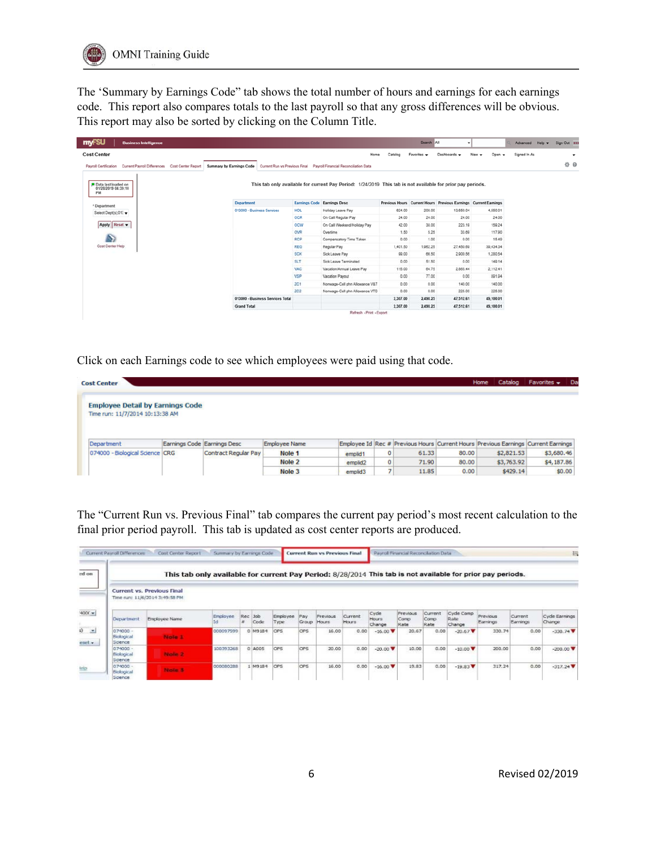The 'Summary by Earnings Code" tab shows the total number of hours and earnings for each earnings code. This report also compares totals to the last payroll so that any gross differences will be obvious. This report may also be sorted by clicking on the Column Title.

| <b>my-SU</b><br><b>Business Intelligence</b>                            |                                  |            |                                                                                                            |          | Search All  | $\blacksquare$                                                  |                           | Advanced Help w | Sign Out ##              |
|-------------------------------------------------------------------------|----------------------------------|------------|------------------------------------------------------------------------------------------------------------|----------|-------------|-----------------------------------------------------------------|---------------------------|-----------------|--------------------------|
| <b>Cost Center</b>                                                      |                                  |            | Home                                                                                                       | Catalog  | Favorites v | Dashboards v                                                    | New $\mathbf v$<br>Open v | Signed In As    | $\overline{\phantom{a}}$ |
| Current Payroll Differences Cost Center Report<br>Payroll Certification | Summary by Earnings Code         |            | Current Run vs Previous Final Payroll Financial Reconciliation Data                                        |          |             |                                                                 |                           |                 | ☆ ◎                      |
| P Data last loaded on<br>01/28/2019 04:39:10<br>PM                      |                                  |            | This tab only available for current Pay Period: 1/24/2019 This tab is not available for prior pay periods. |          |             |                                                                 |                           |                 |                          |
| * Department                                                            | <b>Department</b>                |            | <b>Earnings Code Earnings Desc</b>                                                                         |          |             | Previous Hours Current Hours Previous Earnings Current Earnings |                           |                 |                          |
| Select Dept(s);012                                                      | 013000 - Business Services       | <b>HOL</b> | Holiday Leave Pay                                                                                          | 624.00   | 208.00      | 13,650.04                                                       | 4,550.01                  |                 |                          |
|                                                                         |                                  | <b>OCR</b> | On Call Regular Pay                                                                                        | 24.00    | 24.00       | 24.00                                                           | 24.00                     |                 |                          |
| Reset v<br>Apply                                                        |                                  | <b>OCW</b> | On Call Weekend/Holiday Pay                                                                                | 42.00    | 38.00       | 223.19                                                          | 159.24                    |                 |                          |
|                                                                         |                                  | OVR        | Overtime                                                                                                   | 1.50     | 5.25        | 33.69                                                           | 117.90                    |                 |                          |
| $\mathcal{L}_{\mathcal{L}}$                                             |                                  | <b>RCP</b> | Compensatory Time Taken                                                                                    | 0.00     | 1.00        | 0.00                                                            | 15.40                     |                 |                          |
| Cost Center Help                                                        |                                  | <b>REG</b> | Regular Pay                                                                                                | 1,401.50 | 1,962.25    | 27,450.69                                                       | 39,434.34                 |                 |                          |
|                                                                         |                                  | <b>SCK</b> | Sick Leave Pay                                                                                             | 99.00    | 66.50       | 2,900.56                                                        | 1,280.54                  |                 |                          |
|                                                                         |                                  | SLT        | Sick Leave Terminated                                                                                      | 0.00     | 51.50       | 0.00                                                            | 149.14                    |                 |                          |
|                                                                         |                                  | <b>VAC</b> | Vacation/Annual Leave Pay                                                                                  | 115.00   | 64.75       | 2,865.44                                                        | 2.112.41                  |                 |                          |
|                                                                         |                                  | <b>VSP</b> | Vacation Payout                                                                                            | 0.00     | 77.00       | 0.00                                                            | 801.04                    |                 |                          |
|                                                                         |                                  | 201        | Nonwage-Cell phn Allowance V&T                                                                             | 0.00     | 0.00        | 140.00                                                          | 140.00                    |                 |                          |
|                                                                         |                                  | 202        | Nonwage-Cell phn Allowance VTD                                                                             | 0.00     | 0.00        | 225.00                                                          | 225.00                    |                 |                          |
|                                                                         | 013000 - Business Services Total |            |                                                                                                            | 2,307.00 | 2,498.25    | 47,512.61                                                       | 49,100.01                 |                 |                          |
|                                                                         | <b>Grand Total</b>               |            |                                                                                                            | 2.307.00 | 2,458.25    | 47,512.61                                                       | 49,100.01                 |                 |                          |
|                                                                         |                                  |            | Refresh - Print - Export                                                                                   |          |             |                                                                 |                           |                 |                          |

Click on each Earnings code to see which employees were paid using that code.

| <b>Cost Center</b>                                                         |                             |                             |                      |                     |         |       |       | Catalog<br>Home                                                                   | Favorites $\sim$ | Da |
|----------------------------------------------------------------------------|-----------------------------|-----------------------------|----------------------|---------------------|---------|-------|-------|-----------------------------------------------------------------------------------|------------------|----|
| <b>Employee Detail by Earnings Code</b><br>Time run: 11/7/2014 10:13:38 AM |                             |                             |                      |                     |         |       |       |                                                                                   |                  |    |
| Department                                                                 | Earnings Code Earnings Desc |                             | <b>Employee Name</b> |                     |         |       |       | Employee Id Rec # Previous Hours Current Hours Previous Earnings Current Earnings |                  |    |
| 074000 - Biological Science CRG                                            |                             | <b>Contract Regular Pay</b> | Nole 1               | emplid1             | O       | 61.33 | 80.00 | \$2,821.53                                                                        | \$3,680.46       |    |
|                                                                            |                             |                             | Nole 2               | emplid <sub>2</sub> | $\circ$ | 71.90 | 80.00 | \$3,763.92                                                                        | \$4,187.86       |    |
|                                                                            |                             |                             | Nole 3               | emplid3             |         | 11.85 | 0.00  | \$429.14                                                                          | \$0.00           |    |

The "Current Run vs. Previous Final" tab compares the current pay period's most recent calculation to the final prior period payroll. This tab is updated as cost center reports are produced.

| Current Payroll Differences         | Cost Center Report                                                  | Summary by Earnings Code                                                                                   |         |                 |                  |               | <b>Current Run vs Previous Final</b> |                  |                 | Payroll Financial Reconcilation Data |               |                |                      |                     | 喆                              |
|-------------------------------------|---------------------------------------------------------------------|------------------------------------------------------------------------------------------------------------|---------|-----------------|------------------|---------------|--------------------------------------|------------------|-----------------|--------------------------------------|---------------|----------------|----------------------|---------------------|--------------------------------|
|                                     |                                                                     | This tab only available for current Pay Period: 8/28/2014 This tab is not available for prior pay periods. |         |                 |                  |               |                                      |                  |                 |                                      |               |                |                      |                     |                                |
|                                     | <b>Current vs. Previous Final</b><br>Time run: 11/6/2014 3:49:58 PM |                                                                                                            |         |                 |                  |               |                                      |                  | Cycle           | <b>Previous</b>                      | Current       | Cycle Comp     |                      |                     |                                |
| Department                          | Employee Name                                                       | Employee<br>та                                                                                             |         | Rec Job<br>Code | Employee<br>Type | Pay<br>Group. | Previous<br>Hours.                   | Current<br>Hours | Hours<br>Change | Comp<br>Rate                         | Comp.<br>Rate | Rate<br>Change | Previous<br>Earnings | Current<br>Earnings | Cycle Earnings<br>Change       |
| $074000 -$<br>Biological<br>Science | Note 17                                                             | 000097599                                                                                                  |         | 0 M9184         | <b>CPS</b>       | OPS           | 16.00                                | 0.00             | $-16.00$ $V$    | 20.67                                | 0.00          | $-20.67$ $V$   | 330.74               | 0.00                | $-330.74$ $V$                  |
| $074000 -$<br>Biological<br>Science | Note 2                                                              | 100393268                                                                                                  | $\circ$ | A005            | <b>CPS</b>       | lops          | 20.00                                | 0.00             | $-20.00 \nabla$ | 10.00                                | 0.00          | $-10,00$ $V$   | 200.00               | 0,00                | $-200,00$ $\blacktriangledown$ |
| $074000 -$<br>Biological<br>Science | Note 3                                                              | 000080288                                                                                                  |         | F81PM 1         | <b>OPS</b>       | <b>OPS</b>    | 16.00                                | 0.00             | $-16.00 \nabla$ | 19.83                                | 0.00          | $-19.83$ $V$   | 317.24               | 0.00                | $-317.24$                      |